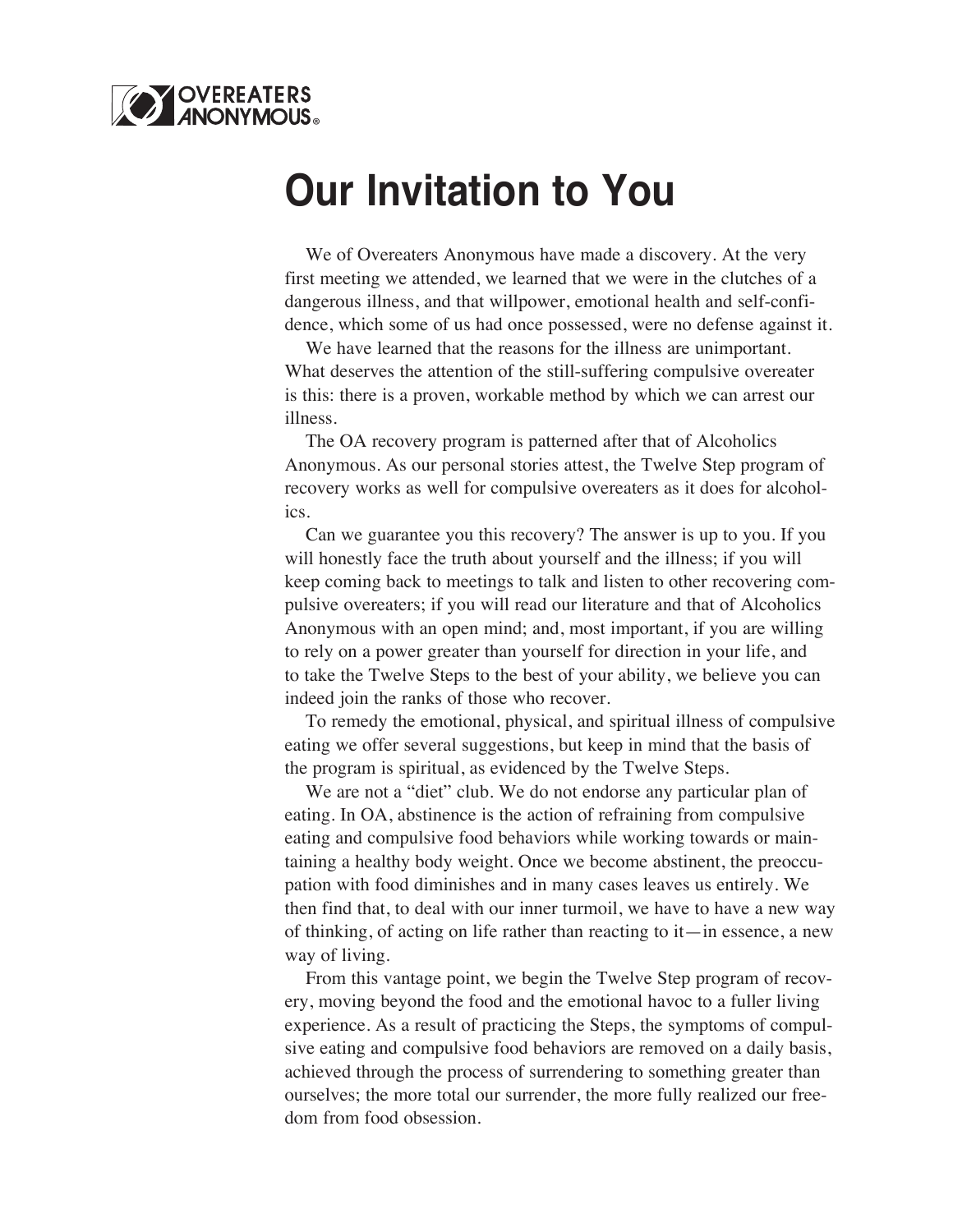

## **Our Invitation to You**

We of Overeaters Anonymous have made a discovery. At the very first meeting we attended, we learned that we were in the clutches of a dangerous illness, and that willpower, emotional health and self-confidence, which some of us had once possessed, were no defense against it.

We have learned that the reasons for the illness are unimportant. What deserves the attention of the still-suffering compulsive overeater is this: there is a proven, workable method by which we can arrest our illness.

The OA recovery program is patterned after that of Alcoholics Anonymous. As our personal stories attest, the Twelve Step program of recovery works as well for compulsive overeaters as it does for alcoholics.

Can we guarantee you this recovery? The answer is up to you. If you will honestly face the truth about yourself and the illness; if you will keep coming back to meetings to talk and listen to other recovering compulsive overeaters; if you will read our literature and that of Alcoholics Anonymous with an open mind; and, most important, if you are willing to rely on a power greater than yourself for direction in your life, and to take the Twelve Steps to the best of your ability, we believe you can indeed join the ranks of those who recover.

To remedy the emotional, physical, and spiritual illness of compulsive eating we offer several suggestions, but keep in mind that the basis of the program is spiritual, as evidenced by the Twelve Steps.

We are not a "diet" club. We do not endorse any particular plan of eating. In OA, abstinence is the action of refraining from compulsive eating and compulsive food behaviors while working towards or maintaining a healthy body weight. Once we become abstinent, the preoccupation with food diminishes and in many cases leaves us entirely. We then find that, to deal with our inner turmoil, we have to have a new way of thinking, of acting on life rather than reacting to it—in essence, a new way of living.

From this vantage point, we begin the Twelve Step program of recovery, moving beyond the food and the emotional havoc to a fuller living experience. As a result of practicing the Steps, the symptoms of compulsive eating and compulsive food behaviors are removed on a daily basis, achieved through the process of surrendering to something greater than ourselves; the more total our surrender, the more fully realized our freedom from food obsession.